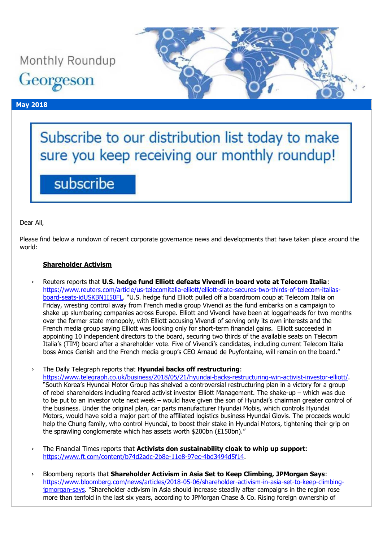Monthly Roundup Georgeson

## **May 2018**



# Subscribe to our distribution list today to make sure you keep receiving our monthly roundup!

# subscribe

Dear All,

Please find below a rundown of recent corporate governance news and developments that have taken place around the world:

## **Shareholder Activism**

› Reuters reports that **U.S. hedge fund Elliott defeats Vivendi in board vote at Telecom Italia**: [https://www.reuters.com/article/us-telecomitalia-elliott/elliott-slate-secures-two-thirds-of-telecom-italias](https://www.reuters.com/article/us-telecomitalia-elliott/elliott-slate-secures-two-thirds-of-telecom-italias-board-seats-idUSKBN1I50FL)[board-seats-idUSKBN1I50FL](https://www.reuters.com/article/us-telecomitalia-elliott/elliott-slate-secures-two-thirds-of-telecom-italias-board-seats-idUSKBN1I50FL). "U.S. hedge fund Elliott pulled off a boardroom coup at Telecom Italia on Friday, wresting control away from French media group Vivendi as the fund embarks on a campaign to shake up slumbering companies across Europe. Elliott and Vivendi have been at loggerheads for two months over the former state monopoly, with Elliott accusing Vivendi of serving only its own interests and the French media group saying Elliott was looking only for short-term financial gains. Elliott succeeded in appointing 10 independent directors to the board, securing two thirds of the available seats on Telecom Italia's (TIM) board after a shareholder vote. Five of Vivendi's candidates, including current Telecom Italia boss Amos Genish and the French media group's CEO Arnaud de Puyfontaine, will remain on the board."

› The Daily Telegraph reports that **Hyundai backs off restructuring**: [https://www.telegraph.co.uk/business/2018/05/21/hyundai-backs-restructuring-win-activist-investor-elliott/.](https://www.telegraph.co.uk/business/2018/05/21/hyundai-backs-restructuring-win-activist-investor-elliott/) "South Korea's Hyundai Motor Group has shelved a controversial restructuring plan in a victory for a group of rebel shareholders including feared activist investor Elliott Management. The shake-up – which was due to be put to an investor vote next week – would have given the son of Hyundai's chairman greater control of the business. Under the original plan, car parts manufacturer Hyundai Mobis, which controls Hyundai Motors, would have sold a major part of the affiliated logistics business Hyundai Glovis. The proceeds would help the Chung family, who control Hyundai, to boost their stake in Hyundai Motors, tightening their grip on the sprawling conglomerate which has assets worth \$200bn (£150bn)."

- › The Financial Times reports that **Activists don sustainability cloak to whip up support**: [https://www.ft.com/content/b74d2adc-2b8e-11e8-97ec-4bd3494d5f14.](https://www.ft.com/content/b74d2adc-2b8e-11e8-97ec-4bd3494d5f14)
- › Bloomberg reports that **Shareholder Activism in Asia Set to Keep Climbing, JPMorgan Says**: [https://www.bloomberg.com/news/articles/2018-05-06/shareholder-activism-in-asia-set-to-keep-climbing](https://www.bloomberg.com/news/articles/2018-05-06/shareholder-activism-in-asia-set-to-keep-climbing-jpmorgan-says)[jpmorgan-says](https://www.bloomberg.com/news/articles/2018-05-06/shareholder-activism-in-asia-set-to-keep-climbing-jpmorgan-says). "Shareholder activism in Asia should increase steadily after campaigns in the region rose more than tenfold in the last six years, according to JPMorgan Chase & Co. Rising foreign ownership of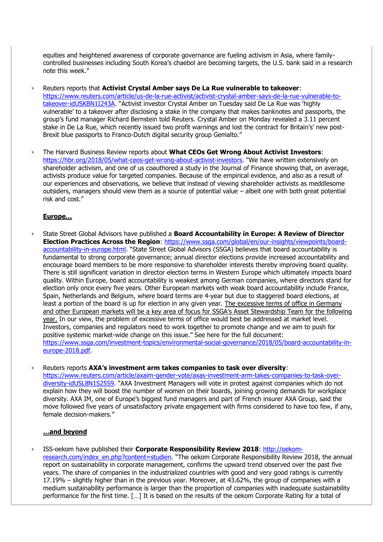equities and heightened awareness of corporate governance are fueling activism in Asia, where familycontrolled businesses including South Korea's chaebol are becoming targets, the U.S. bank said in a research note this week."

- › Reuters reports that **Activist Crystal Amber says De La Rue vulnerable to takeover**: [https://www.reuters.com/article/us-de-la-rue-activist/activist-crystal-amber-says-de-la-rue-vulnerable-to](https://www.reuters.com/article/us-de-la-rue-activist/activist-crystal-amber-says-de-la-rue-vulnerable-to-takeover-idUSKBN1I243A)[takeover-idUSKBN1I243A](https://www.reuters.com/article/us-de-la-rue-activist/activist-crystal-amber-says-de-la-rue-vulnerable-to-takeover-idUSKBN1I243A). "Activist investor Crystal Amber on Tuesday said De La Rue was 'highly vulnerable' to a takeover after disclosing a stake in the company that makes banknotes and passports, the group's fund manager Richard Bernstein told Reuters. Crystal Amber on Monday revealed a 3.11 percent stake in De La Rue, which recently issued two profit warnings and lost the contract for Britain's' new post-Brexit blue passports to Franco-Dutch digital security group Gemalto."
- › The Harvard Business Review reports about **What CEOs Get Wrong About Activist Investors**: <https://hbr.org/2018/05/what-ceos-get-wrong-about-activist-investors>. "We have written extensively on shareholder activism, and one of us coauthored a study in the Journal of Finance showing that, on average, activists produce value for targeted companies. Because of the empirical evidence, and also as a result of our experiences and observations, we believe that instead of viewing shareholder activists as meddlesome outsiders, managers should view them as a source of potential value – albeit one with both great potential risk and cost."

#### **Europe…**

› State Street Global Advisors have published a **Board Accountability in Europe: A Review of Director Election Practices Across the Region**: [https://www.ssga.com/global/en/our-insights/viewpoints/board](https://www.ssga.com/global/en/our-insights/viewpoints/board-accountability-in-europe.html)[accountability-in-europe.html](https://www.ssga.com/global/en/our-insights/viewpoints/board-accountability-in-europe.html). "State Street Global Advisors (SSGA) believes that board accountability is fundamental to strong corporate governance; annual director elections provide increased accountability and encourage board members to be more responsive to shareholder interests thereby improving board quality. There is still significant variation in director election terms in Western Europe which ultimately impacts board quality. Within Europe, board accountability is weakest among German companies, where directors stand for election only once every five years. Other European markets with weak board accountability include France, Spain, Netherlands and Belgium, where board terms are 4-year but due to staggered board elections, at least a portion of the board is up for election in any given year. The excessive terms of office in Germany and other European markets will be a key area of focus for SSGA's Asset Stewardship Team for the following year. In our view, the problem of excessive terms of office would best be addressed at market level. Investors, companies and regulators need to work together to promote change and we aim to push for positive systemic market-wide change on this issue." See here for the full document: [https://www.ssga.com/investment-topics/environmental-social-governance/2018/05/board-accountability-in](https://www.ssga.com/investment-topics/environmental-social-governance/2018/05/board-accountability-in-europe-2018.pdf)[europe-2018.pdf.](https://www.ssga.com/investment-topics/environmental-social-governance/2018/05/board-accountability-in-europe-2018.pdf)

› Reuters reports **AXA's investment arm takes companies to task over diversity**:

[https://www.reuters.com/article/axaim-gender-vote/axas-investment-arm-takes-companies-to-task-over](https://www.reuters.com/article/axaim-gender-vote/axas-investment-arm-takes-companies-to-task-over-diversity-idUSL8N1S25S9)[diversity-idUSL8N1S25S9](https://www.reuters.com/article/axaim-gender-vote/axas-investment-arm-takes-companies-to-task-over-diversity-idUSL8N1S25S9). "AXA Investment Managers will vote in protest against companies which do not explain how they will boost the number of women on their boards, joining growing demands for workplace diversity. AXA IM, one of Europe's biggest fund managers and part of French insurer AXA Group, said the move followed five years of unsatisfactory private engagement with firms considered to have too few, if any, female decision-makers."

#### **…and beyond**

› ISS-oekom have published their **Corporate Responsibility Review 2018**: [http://oekom](http://oekom-research.com/index_en.php?content=studien)[research.com/index\\_en.php?content=studien.](http://oekom-research.com/index_en.php?content=studien) "The oekom Corporate Responsibility Review 2018, the annual report on sustainability in corporate management, confirms the upward trend observed over the past five years. The share of companies in the industrialized countries with good and very good ratings is currently 17.19% – slightly higher than in the previous year. Moreover, at 43.62%, the group of companies with a medium sustainability performance is larger than the proportion of companies with inadequate sustainability performance for the first time. […] It is based on the results of the oekom Corporate Rating for a total of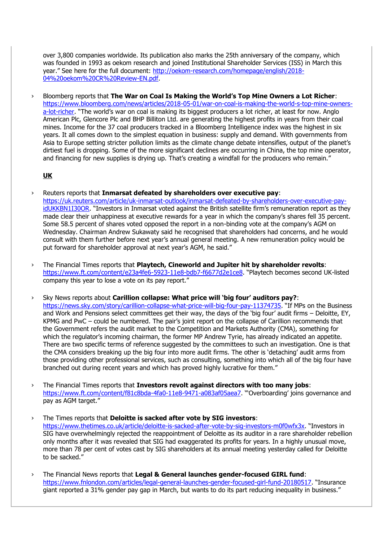over 3,800 companies worldwide. Its publication also marks the 25th anniversary of the company, which was founded in 1993 as oekom research and joined Institutional Shareholder Services (ISS) in March this year." See here for the full document: [http://oekom-research.com/homepage/english/2018-](http://oekom-research.com/homepage/english/2018-04%20oekom%20CR%20Review-EN.pdf) [04%20oekom%20CR%20Review-EN.pdf.](http://oekom-research.com/homepage/english/2018-04%20oekom%20CR%20Review-EN.pdf)

› Bloomberg reports that **The War on Coal Is Making the World's Top Mine Owners a Lot Richer**: [https://www.bloomberg.com/news/articles/2018-05-01/war-on-coal-is-making-the-world-s-top-mine-owners](https://www.bloomberg.com/news/articles/2018-05-01/war-on-coal-is-making-the-world-s-top-mine-owners-a-lot-richer)[a-lot-richer](https://www.bloomberg.com/news/articles/2018-05-01/war-on-coal-is-making-the-world-s-top-mine-owners-a-lot-richer). "The world's war on coal is making its biggest producers a lot richer, at least for now. Anglo American Plc, Glencore Plc and BHP Billiton Ltd. are generating the highest profits in years from their coal mines. Income for the 37 coal producers tracked in a Bloomberg Intelligence index was the highest in six years. It all comes down to the simplest equation in business: supply and demand. With governments from Asia to Europe setting stricter pollution limits as the climate change debate intensifies, output of the planet's dirtiest fuel is dropping. Some of the more significant declines are occurring in China, the top mine operator, and financing for new supplies is drying up. That's creating a windfall for the producers who remain."

## **UK**

- › Reuters reports that **Inmarsat defeated by shareholders over executive pay**: [https://uk.reuters.com/article/uk-inmarsat-outlook/inmarsat-defeated-by-shareholders-over-executive-pay](https://uk.reuters.com/article/uk-inmarsat-outlook/inmarsat-defeated-by-shareholders-over-executive-pay-idUKKBN1I30OR)[idUKKBN1I30OR](https://uk.reuters.com/article/uk-inmarsat-outlook/inmarsat-defeated-by-shareholders-over-executive-pay-idUKKBN1I30OR). "Investors in Inmarsat voted against the British satellite firm's remuneration report as they made clear their unhappiness at executive rewards for a year in which the company's shares fell 35 percent. Some 58.5 percent of shares voted opposed the report in a non-binding vote at the company's AGM on Wednesday. Chairman Andrew Sukawaty said he recognised that shareholders had concerns, and he would consult with them further before next year's annual general meeting. A new remuneration policy would be put forward for shareholder approval at next year's AGM, he said."
- › The Financial Times reports that **Playtech, Cineworld and Jupiter hit by shareholder revolts**: <https://www.ft.com/content/e23a4fe6-5923-11e8-bdb7-f6677d2e1ce8>. "Playtech becomes second UK-listed company this year to lose a vote on its pay report."
- › Sky News reports about **Carillion collapse: What price will 'big four' auditors pay?**: <https://news.sky.com/story/carillion-collapse-what-price-will-big-four-pay-11374735>. "If MPs on the Business and Work and Pensions select committees get their way, the days of the 'big four' audit firms – Deloitte, EY, KPMG and PwC – could be numbered. The pair's joint report on the collapse of Carillion recommends that the Government refers the audit market to the Competition and Markets Authority (CMA), something for which the regulator's incoming chairman, the former MP Andrew Tyrie, has already indicated an appetite. There are two specific terms of reference suggested by the committees to such an investigation. One is that the CMA considers breaking up the big four into more audit firms. The other is 'detaching' audit arms from those providing other professional services, such as consulting, something into which all of the big four have branched out during recent years and which has proved highly lucrative for them."
- › The Financial Times reports that **Investors revolt against directors with too many jobs**: <https://www.ft.com/content/f81c8bda-4fa0-11e8-9471-a083af05aea7>. "'Overboarding' joins governance and pay as AGM target."

› The Times reports that **Deloitte is sacked after vote by SIG investors**: <https://www.thetimes.co.uk/article/deloitte-is-sacked-after-vote-by-sig-investors-m0f0wfx3x>. "Investors in SIG have overwhelmingly rejected the reappointment of Deloitte as its auditor in a rare shareholder rebellion only months after it was revealed that SIG had exaggerated its profits for years. In a highly unusual move, more than 78 per cent of votes cast by SIG shareholders at its annual meeting yesterday called for Deloitte to be sacked."

› The Financial News reports that **Legal & General launches gender-focused GIRL fund**: <https://www.fnlondon.com/articles/legal-general-launches-gender-focused-girl-fund-20180517>. "Insurance giant reported a 31% gender pay gap in March, but wants to do its part reducing inequality in business."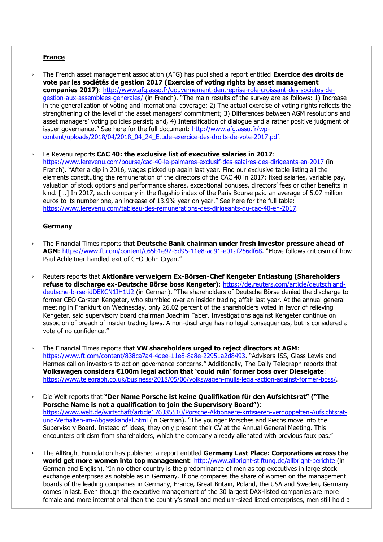## **France**

› The French asset management association (AFG) has published a report entitled **Exercice des droits de vote par les sociétés de gestion 2017 (Exercise of voting rights by asset management companies 2017)**: [http://www.afg.asso.fr/gouvernement-dentreprise-role-croissant-des-societes-de](http://www.afg.asso.fr/gouvernement-dentreprise-role-croissant-des-societes-de-gestion-aux-assemblees-generales/)[gestion-aux-assemblees-generales/](http://www.afg.asso.fr/gouvernement-dentreprise-role-croissant-des-societes-de-gestion-aux-assemblees-generales/) (in French). "The main results of the survey are as follows: 1) Increase in the generalization of voting and international coverage; 2) The actual exercise of voting rights reflects the strengthening of the level of the asset managers' commitment; 3) Differences between AGM resolutions and asset managers' voting policies persist; and, 4) Intensification of dialogue and a rather positive judgment of issuer governance." See here for the full document: [http://www.afg.asso.fr/wp](http://www.afg.asso.fr/wp-content/uploads/2018/04/2018_04_24_Etude-exercice-des-droits-de-vote-2017.pdf)[content/uploads/2018/04/2018\\_04\\_24\\_Etude-exercice-des-droits-de-vote-2017.pdf.](http://www.afg.asso.fr/wp-content/uploads/2018/04/2018_04_24_Etude-exercice-des-droits-de-vote-2017.pdf)

› Le Revenu reports **CAC 40: the exclusive list of executive salaries in 2017**: <https://www.lerevenu.com/bourse/cac-40-le-palmares-exclusif-des-salaires-des-dirigeants-en-2017> (in French). "After a dip in 2016, wages picked up again last year. Find our exclusive table listing all the elements constituting the remuneration of the directors of the CAC 40 in 2017: fixed salaries, variable pay, valuation of stock options and performance shares, exceptional bonuses, directors' fees or other benefits in kind. [...] In 2017, each company in the flagship index of the Paris Bourse paid an average of 5.07 million euros to its number one, an increase of 13.9% year on year." See here for the full table: [https://www.lerevenu.com/tableau-des-remunerations-des-dirigeants-du-cac-40-en-2017.](https://www.lerevenu.com/tableau-des-remunerations-des-dirigeants-du-cac-40-en-2017)

#### **Germany**

- › The Financial Times reports that **Deutsche Bank chairman under fresh investor pressure ahead of AGM**:<https://www.ft.com/content/c65b1e92-5d95-11e8-ad91-e01af256df68>. "Move follows criticism of how Paul Achleitner handled exit of CEO John Cryan."
- › Reuters reports that **Aktionäre verweigern Ex-Börsen-Chef Kengeter Entlastung (Shareholders refuse to discharge ex-Deutsche Börse boss Kengeter)**: [https://de.reuters.com/article/deutschland](https://de.reuters.com/article/deutschland-deutsche-b-rse-idDEKCN1IH1U2)[deutsche-b-rse-idDEKCN1IH1U2](https://de.reuters.com/article/deutschland-deutsche-b-rse-idDEKCN1IH1U2) (in German). "The shareholders of Deutsche Börse denied the discharge to former CEO Carsten Kengeter, who stumbled over an insider trading affair last year. At the annual general meeting in Frankfurt on Wednesday, only 26.02 percent of the shareholders voted in favor of relieving Kengeter, said supervisory board chairman Joachim Faber. Investigations against Kengeter continue on suspicion of breach of insider trading laws. A non-discharge has no legal consequences, but is considered a vote of no confidence."
- › The Financial Times reports that **VW shareholders urged to reject directors at AGM**: <https://www.ft.com/content/838ca7a4-4dee-11e8-8a8e-22951a2d8493>. "Advisers ISS, Glass Lewis and Hermes call on investors to act on governance concerns." Additionally, The Daily Telegraph reports that **Volkswagen considers €100m legal action that 'could ruin' former boss over Dieselgate**: [https://www.telegraph.co.uk/business/2018/05/06/volkswagen-mulls-legal-action-against-former-boss/.](https://www.telegraph.co.uk/business/2018/05/06/volkswagen-mulls-legal-action-against-former-boss/)
- › Die Welt reports that **"Der Name Porsche ist keine Qualifikation für den Aufsichtsrat" ("The Porsche Name is not a qualification to join the Supervisory Board")**: [https://www.welt.de/wirtschaft/article176385510/Porsche-Aktionaere-kritisieren-verdoppelten-Aufsichtsrat](https://www.welt.de/wirtschaft/%0barticle176385510/Porsche-Aktionaere-kritisieren-verdoppelten-Aufsichtsrat-und-Verhalten-im-Abgasskandal.html)[und-Verhalten-im-Abgasskandal.html](https://www.welt.de/wirtschaft/%0barticle176385510/Porsche-Aktionaere-kritisieren-verdoppelten-Aufsichtsrat-und-Verhalten-im-Abgasskandal.html) (in German). "The younger Porsches and Piëchs move into the Supervisory Board. Instead of ideas, they only present their CV at the Annual General Meeting. This encounters criticism from shareholders, which the company already alienated with previous faux pas."
- › The AllBright Foundation has published a report entitled **Germany Last Place: Corporations across the world get more women into top management**:<http://www.allbright-stiftung.de/allbright-berichte> (in German and English). "In no other country is the predominance of men as top executives in large stock exchange enterprises as notable as in Germany. If one compares the share of women on the management boards of the leading companies in Germany, France, Great Britain, Poland, the USA and Sweden, Germany comes in last. Even though the executive management of the 30 largest DAX-listed companies are more female and more international than the country's small and medium-sized listed enterprises, men still hold a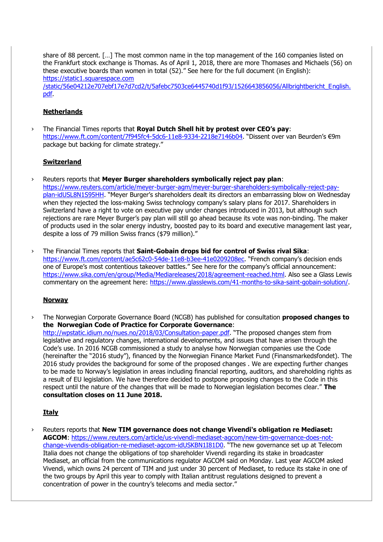share of 88 percent. […] The most common name in the top management of the 160 companies listed on the Frankfurt stock exchange is Thomas. As of April 1, 2018, there are more Thomases and Michaels (56) on these executive boards than women in total (52)." See here for the full document (in English): https://static1.squarespace.com

/static/56e04212e707ebf17e7d7cd2/t/5afebc7503ce6445740d1f93/1526643856056/Allbrightbericht\_English. pdf.

## **Netherlands**

› The Financial Times reports that **Royal Dutch Shell hit by protest over CEO's pay**: <https://www.ft.com/content/7f945fc4-5dc6-11e8-9334-2218e7146b04>. "Dissent over van Beurden's €9m package but backing for climate strategy."

## **Switzerland**

› Reuters reports that **Meyer Burger shareholders symbolically reject pay plan**:

[https://www.reuters.com/article/meyer-burger-agm/meyer-burger-shareholders-symbolically-reject-pay](https://www.reuters.com/article/meyer-burger-agm/meyer-burger-shareholders-symbolically-reject-pay-plan-idUSL8N1S95HH)[plan-idUSL8N1S95HH](https://www.reuters.com/article/meyer-burger-agm/meyer-burger-shareholders-symbolically-reject-pay-plan-idUSL8N1S95HH). "Meyer Burger's shareholders dealt its directors an embarrassing blow on Wednesday when they rejected the loss-making Swiss technology company's salary plans for 2017. Shareholders in Switzerland have a right to vote on executive pay under changes introduced in 2013, but although such rejections are rare Meyer Burger's pay plan will still go ahead because its vote was non-binding. The maker of products used in the solar energy industry, boosted pay to its board and executive management last year, despite a loss of 79 million Swiss francs (\$79 million)."

› The Financial Times reports that **Saint-Gobain drops bid for control of Swiss rival Sika**: <https://www.ft.com/content/ae5c62c0-54de-11e8-b3ee-41e0209208ec>. "French company's decision ends one of Europe's most contentious takeover battles." See here for the company's official announcement: [https://www.sika.com/en/group/Media/Mediareleases/2018/agreement-reached.html.](https://www.sika.com/en/group/Media/Mediareleases/2018/agreement-reached.html) Also see a Glass Lewis commentary on the agreement here: [https://www.glasslewis.com/41-months-to-sika-saint-gobain-solution/.](https://www.glasslewis.com/41-months-to-sika-saint-gobain-solution/)

## **Norway**

› The Norwegian Corporate Governance Board (NCGB) has published for consultation **proposed changes to the Norwegian Code of Practice for Corporate Governance**: <http://wpstatic.idium.no/nues.no/2018/03/Consultation-paper.pdf>. "The proposed changes stem from legislative and regulatory changes, international developments, and issues that have arisen through the Code's use. In 2016 NCGB commissioned a study to analyse how Norwegian companies use the Code (hereinafter the "2016 study"), financed by the Norwegian Finance Market Fund (Finansmarkedsfondet). The 2016 study provides the background for some of the proposed changes . We are expecting further changes to be made to Norway's legislation in areas including financial reporting, auditors, and shareholding rights as a result of EU legislation. We have therefore decided to postpone proposing changes to the Code in this respect until the nature of the changes that will be made to Norwegian legislation becomes clear." **The consultation closes on 11 June 2018.**

## **Italy**

› Reuters reports that **New TIM governance does not change Vivendi's obligation re Mediaset: AGCOM**: [https://www.reuters.com/article/us-vivendi-mediaset-agcom/new-tim-governance-does-not](https://www.reuters.com/article/us-vivendi-mediaset-agcom/new-tim-governance-does-not-change-vivendis-obligation-re-mediaset-agcom-idUSKBN1I81D0)[change-vivendis-obligation-re-mediaset-agcom-idUSKBN1I81D0](https://www.reuters.com/article/us-vivendi-mediaset-agcom/new-tim-governance-does-not-change-vivendis-obligation-re-mediaset-agcom-idUSKBN1I81D0). "The new governance set up at Telecom Italia does not change the obligations of top shareholder Vivendi regarding its stake in broadcaster Mediaset, an official from the communications regulator AGCOM said on Monday. Last year AGCOM asked Vivendi, which owns 24 percent of TIM and just under 30 percent of Mediaset, to reduce its stake in one of the two groups by April this year to comply with Italian antitrust regulations designed to prevent a concentration of power in the country's telecoms and media sector."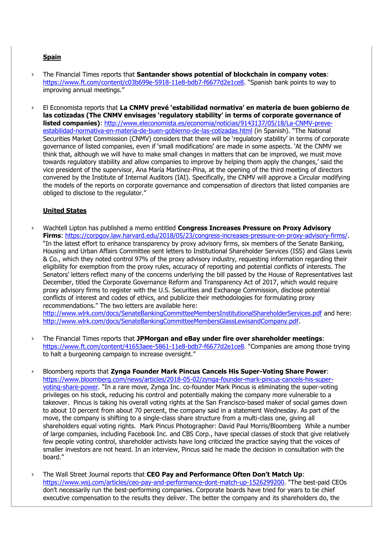# **Spain**

- › The Financial Times reports that **Santander shows potential of blockchain in company votes**: <https://www.ft.com/content/c03b699e-5918-11e8-bdb7-f6677d2e1ce8>. "Spanish bank points to way to improving annual meetings."
- › El Economista reports that **La CNMV prevé 'estabilidad normativa' en materia de buen gobierno de las cotizadas (The CNMV envisages 'regulatory stability' in terms of corporate governance of listed companies)**: [http://www.eleconomista.es/economia/noticias/9143137/05/18/La-CNMV-preve](http://www.eleconomista.es/economia/noticias/9143137/05/18/La-CNMV-preve-estabilidad-normativa-en-materia-de-buen-gobierno-de-las-cotizadas.html)[estabilidad-normativa-en-materia-de-buen-gobierno-de-las-cotizadas.html](http://www.eleconomista.es/economia/noticias/9143137/05/18/La-CNMV-preve-estabilidad-normativa-en-materia-de-buen-gobierno-de-las-cotizadas.html) (in Spanish). "The National Securities Market Commission (CNMV) considers that there will be 'regulatory stability' in terms of corporate governance of listed companies, even if 'small modifications' are made in some aspects. 'At the CNMV we think that, although we will have to make small changes in matters that can be improved, we must move towards regulatory stability and allow companies to improve by helping them apply the changes,' said the vice president of the supervisor, Ana María Martínez-Pina, at the opening of the third meeting of directors convened by the Institute of Internal Auditors (IAI). Specifically, the CNMV will approve a Circular modifying the models of the reports on corporate governance and compensation of directors that listed companies are obliged to disclose to the regulator."

## **United States**

› Wachtell Lipton has published a memo entitled **Congress Increases Pressure on Proxy Advisory Firms**: [https://corpgov.law.harvard.edu/2018/05/23/congress-increases-pressure-on-proxy-advisory-firms/.](https://corpgov.law.harvard.edu/2018/05/23/congress-increases-pressure-on-proxy-advisory-firms/) "In the latest effort to enhance transparency by proxy advisory firms, six members of the Senate Banking, Housing and Urban Affairs Committee sent letters to Institutional Shareholder Services (ISS) and Glass Lewis & Co., which they noted control 97% of the proxy advisory industry, requesting information regarding their eligibility for exemption from the proxy rules, accuracy of reporting and potential conflicts of interests. The Senators' letters reflect many of the concerns underlying the bill passed by the House of Representatives last December, titled the Corporate Governance Reform and Transparency Act of 2017, which would require proxy advisory firms to register with the U.S. Securities and Exchange Commission, disclose potential conflicts of interest and codes of ethics, and publicize their methodologies for formulating proxy recommendations." The two letters are available here:

<http://www.wlrk.com/docs/SenateBankingCommitteeMembersInstitutionalShareholderServices.pdf> and here: [http://www.wlrk.com/docs/SenateBankingCommitteeMembersGlassLewisandCompany.pdf.](http://www.wlrk.com/docs/SenateBankingCommitteeMembersGlassLewisandCompany.pdf)

- › The Financial Times reports that **JPMorgan and eBay under fire over shareholder meetings**: <https://www.ft.com/content/41653aee-5861-11e8-bdb7-f6677d2e1ce8>. "Companies are among those trying to halt a burgeoning campaign to increase oversight."
- › Bloomberg reports that **Zynga Founder Mark Pincus Cancels His Super-Voting Share Power**: [https://www.bloomberg.com/news/articles/2018-05-02/zynga-founder-mark-pincus-cancels-his-super](https://www.bloomberg.com/news/articles/2018-05-02/zynga-founder-mark-pincus-cancels-his-super-voting-share-power)[voting-share-power](https://www.bloomberg.com/news/articles/2018-05-02/zynga-founder-mark-pincus-cancels-his-super-voting-share-power). "In a rare move, Zynga Inc. co-founder Mark Pincus is eliminating the super-voting privileges on his stock, reducing his control and potentially making the company more vulnerable to a takeover. Pincus is taking his overall voting rights at the San Francisco-based maker of social games down to about 10 percent from about 70 percent, the company said in a statement Wednesday. As part of the move, the company is shifting to a single-class share structure from a multi-class one, giving all shareholders equal voting rights. Mark Pincus Photographer: David Paul Morris/Bloomberg While a number of large companies, including Facebook Inc. and CBS Corp., have special classes of stock that give relatively few people voting control, shareholder activists have long criticized the practice saying that the voices of smaller investors are not heard. In an interview, Pincus said he made the decision in consultation with the board."
- › The Wall Street Journal reports that **CEO Pay and Performance Often Don't Match Up**: <https://www.wsj.com/articles/ceo-pay-and-performance-dont-match-up-1526299200>. "The best-paid CEOs don't necessarily run the best-performing companies. Corporate boards have tried for years to tie chief executive compensation to the results they deliver. The better the company and its shareholders do, the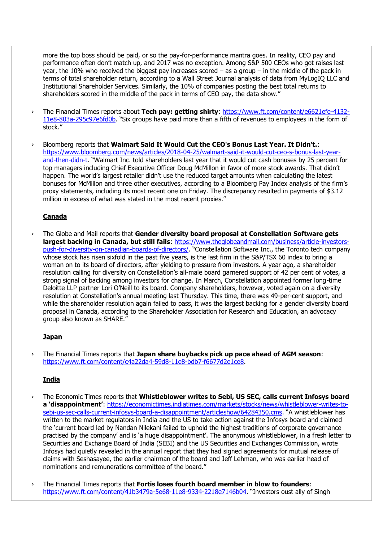more the top boss should be paid, or so the pay-for-performance mantra goes. In reality, CEO pay and performance often don't match up, and 2017 was no exception. Among S&P 500 CEOs who got raises last year, the 10% who received the biggest pay increases scored – as a group – in the middle of the pack in terms of total shareholder return, according to a Wall Street Journal analysis of data from MyLogIQ LLC and Institutional Shareholder Services. Similarly, the 10% of companies posting the best total returns to shareholders scored in the middle of the pack in terms of CEO pay, the data show."

- › The Financial Times reports about **Tech pay: getting shirty**: [https://www.ft.com/content/e6621efe-4132-](https://www.ft.com/content/e6621efe-4132-11e8-803a-295c97e6fd0b) [11e8-803a-295c97e6fd0b](https://www.ft.com/content/e6621efe-4132-11e8-803a-295c97e6fd0b). "Six groups have paid more than a fifth of revenues to employees in the form of stock."
- › Bloomberg reports that **Walmart Said It Would Cut the CEO's Bonus Last Year. It Didn't.**: [https://www.bloomberg.com/news/articles/2018-04-25/walmart-said-it-would-cut-ceo-s-bonus-last-year](https://www.bloomberg.com/news/articles/2018-04-25/walmart-said-it-would-cut-ceo-s-bonus-last-year-and-then-didn-t)[and-then-didn-t](https://www.bloomberg.com/news/articles/2018-04-25/walmart-said-it-would-cut-ceo-s-bonus-last-year-and-then-didn-t). "Walmart Inc. told shareholders last year that it would cut cash bonuses by 25 percent for top managers including Chief Executive Officer Doug McMillon in favor of more stock awards. That didn't happen. The world's largest retailer didn't use the reduced target amounts when calculating the latest bonuses for McMillon and three other executives, according to a Bloomberg Pay Index analysis of the firm's proxy statements, including its most recent one on Friday. The discrepancy resulted in payments of \$3.12 million in excess of what was stated in the most recent proxies."

## **Canada**

› The Globe and Mail reports that **Gender diversity board proposal at Constellation Software gets largest backing in Canada, but still fails**: [https://www.theglobeandmail.com/business/article-investors](https://www.theglobeandmail.com/business/article-investors-push-for-diversity-on-canadian-boards-of-directors/)[push-for-diversity-on-canadian-boards-of-directors/](https://www.theglobeandmail.com/business/article-investors-push-for-diversity-on-canadian-boards-of-directors/). "Constellation Software Inc., the Toronto tech company whose stock has risen sixfold in the past five years, is the last firm in the S&P/TSX 60 index to bring a woman on to its board of directors, after yielding to pressure from investors. A year ago, a shareholder resolution calling for diversity on Constellation's all-male board garnered support of 42 per cent of votes, a strong signal of backing among investors for change. In March, Constellation appointed former long-time Deloitte LLP partner Lori O'Neill to its board. Company shareholders, however, voted again on a diversity resolution at Constellation's annual meeting last Thursday. This time, there was 49-per-cent support, and while the shareholder resolution again failed to pass, it was the largest backing for a gender diversity board proposal in Canada, according to the Shareholder Association for Research and Education, an advocacy group also known as SHARE."

## **Japan**

› The Financial Times reports that **Japan share buybacks pick up pace ahead of AGM season**: [https://www.ft.com/content/c4a22da4-59d8-11e8-bdb7-f6677d2e1ce8.](https://www.ft.com/content/c4a22da4-59d8-11e8-bdb7-f6677d2e1ce8)

## **India**

- The Economic Times reports that Whistleblower writes to Sebi, US SEC, calls current Infosys board **a 'disappointment'**: [https://economictimes.indiatimes.com/markets/stocks/news/whistleblower-writes-to](https://economictimes.indiatimes.com/markets/stocks/news/whistleblower-writes-to-sebi-us-sec-calls-current-infosys-board-a-disappointment/articleshow/64284350.cms)[sebi-us-sec-calls-current-infosys-board-a-disappointment/articleshow/64284350.cms](https://economictimes.indiatimes.com/markets/stocks/news/whistleblower-writes-to-sebi-us-sec-calls-current-infosys-board-a-disappointment/articleshow/64284350.cms). "A whistleblower has written to the market regulators in India and the US to take action against the Infosys board and claimed the 'current board led by Nandan Nilekani failed to uphold the highest traditions of corporate governance practised by the company' and is 'a huge disappointment'. The anonymous whistleblower, in a fresh letter to Securities and Exchange Board of India (SEBI) and the US Securities and Exchanges Commission, wrote Infosys had quietly revealed in the annual report that they had signed agreements for mutual release of claims with Seshasayee, the earlier chairman of the board and Jeff Lehman, who was earlier head of nominations and remunerations committee of the board."
- › The Financial Times reports that **Fortis loses fourth board member in blow to founders**: <https://www.ft.com/content/41b3479a-5e68-11e8-9334-2218e7146b04>. "Investors oust ally of Singh